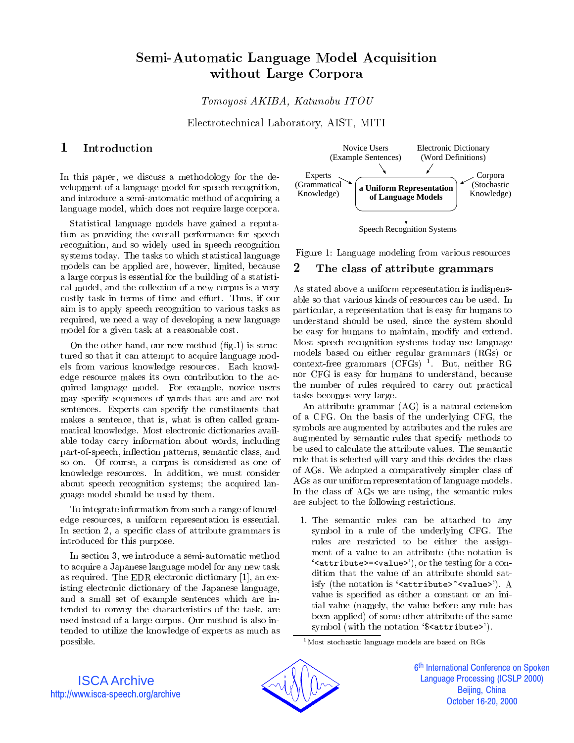# Semi-Automatic Language Model Acquisition without Large Corpora

Tomoyosi AKIBA, Katunobu ITOU

Electrotechnical Laboratory, AIST, MITI

### 1

In this paper, we discuss a methodology for the de velopment of a language model for speech recognition, and introduce a semi-automatic method of acquiring a language model, which does not require large corpora.

Statistical language models have gained a reputation as providing the overall performance for speech recognition, and so widely used in speech recognition systems today. The tasks to which statistical language models can be applied are, however, limited, because a large corpus is essential for the building of a statistical model, and the collection of a new corpus is a very costly task in terms of time and effort. Thus, if our aim is to apply speech recognition to various tasks as required, we need a way of developing a new language model for a given task at a reasonable cost.

On the other hand, our new method  $(f_1g_1)$  is structured so that it can attempt to acquire language models from various knowledge resources. Each knowledge resource makes its own contribution to the acquired language model. For example, novice users may specify sequences of words that are and are not sentences. Experts can specify the constituents that makes a sentence, that is, what is often called grammatical knowledge. Most electronic dictionaries available today carry information about words, including part-of-speech, in
ection patterns, semantic class, and so on. Of course, a corpus is considered as one of knowledge resources. In addition, we must consider about speech recognition systems; the acquired language model should be used by them.

To integrate information from such a range of knowledge resources, a uniform representation is essential. In section 2, a specific class of attribute grammars is introduced for this purpose.

In section 3, we introduce a semi-automatic method to acquire a Japanese language model for any new task as required. The EDR electronic dictionary [1], an existing electronic dictionary of the Japanese language, and a small set of example sentences which are intended to convey the characteristics of the task, are used instead of a large corpus. Our method is also intended to utilize the knowledge of experts as much as possible.



Figure 1: Language modeling from various resources

### The class of attribute grammars

As stated above a uniform representation is indispensable so that various kinds of resources can be used. In particular, a representation that is easy for humans to understand should be used, since the system should be easy for humans to maintain, modify and extend. Most speech recognition systems today use language models based on either regular grammars (RGs) or context-free grammars (CFGs) <sup>1</sup> . But, neither RG nor CFG is easy for humans to understand, because the number of rules required to carry out practical tasks becomes very large.

An attribute grammar (AG) is a natural extension of a CFG. On the basis of the underlying CFG, the symbols are augmented by attributes and the rules are augmented by semantic rules that specify methods to be used to calculate the attribute values. The semantic rule that is selected will vary and this decides the class of AGs. We adopted a comparatively simpler class of AGs as our uniform representation of language models. In the class of AGs we are using, the semantic rules are sub ject to the following restrictions.

1. The semantic rules can be attached to any symbol in a rule of the underlying CFG. The rules are restricted to be either the assignment of a value to an attribute (the notation is  $'s$ attribute>= $&$ value>'), or the testing for a condition that the value of an attribute should satisfy (the notation is '<attribute>"<value>"). A value is specied as either a constant or an initial value (namely, the value before any rule has been applied) of some other attribute of the same symbol (with the notation '\$<attribute>').

 $^{\rm 1}\rm{M}$ ost stochastic language models are based on RGs



6<sup>th</sup> International Conference on Spoken İ **Language Processing (ICSLP 2000)** Beijing, China October 16-20, 2000

ISCA Archive http://www.isca-speech.org/archive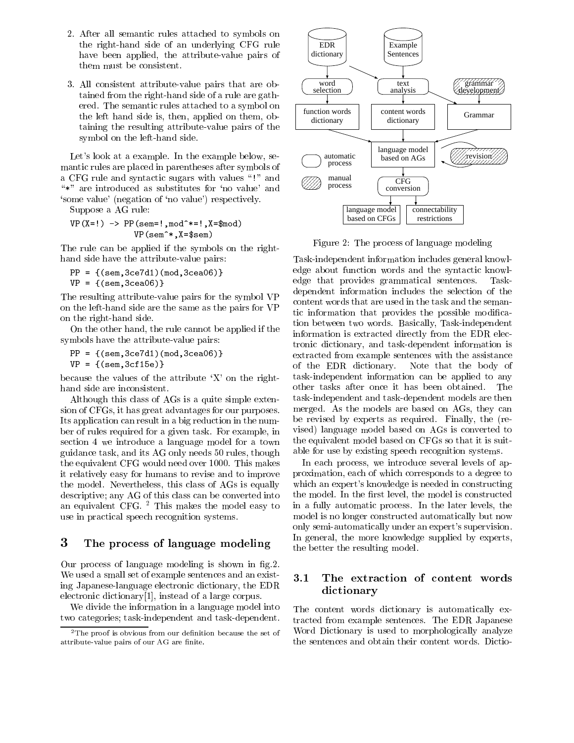- 2. After all semantic rules attached to symbols on the right-hand side of an underlying CFG rule have been applied, the attribute-value pairs of them must be consistent.
- 3. All consistent attribute-value pairs that are obtained from the right-hand side of a rule are gathered. The semantic rules attached to a symbol on the left hand side is, then, applied on them, obtaining the resulting attribute-value pairs of the symbol on the left-hand side.

Let's look at a example. In the example below, semantic rules are placed in parentheses after symbols of a CFG rule and syntactic sugars with values \!" and \\*" are introduced as substitutes for `no value' and `some value' (negation of `no value') respectively.

Suppose a AG rule:

 $\mathcal{L} = \{x_1, \ldots, x_n\}$  . Product the property of  $\mathcal{L} = \{x_1, \ldots, x_n\}$ VP(sem^\*,X=\$sem)

The rule can be applied if the symbols on the righthand side have the attribute-value pairs:

 $\mathbf{P}$  .  $\mathbf{P}$  .  $\mathbf{P}$ VP <sup>=</sup> {(sem,3cea06)}

The resulting attribute-value pairs for the symbol VP on the left-hand side are the same as the pairs for VP on the right-hand side.

On the other hand, the rule cannot be applied if the symbols have the attribute-value pairs:

 $\mathbf{P}$  .  $\mathbf{P}$  .  $\mathbf{P}$ VP <sup>=</sup> {(sem,3cf15e)}

because the values of the attribute  $X'$  on the righthand side are inconsistent.

Although this class of AGs is a quite simple extension of CFGs, it has great advantages for our purposes. Its application can result in a big reduction in the number of rules required for a given task. For example, in section 4 we introduce a language model for a town guidance task, and its AG only needs 50 rules, though the equivalent CFG would need over 1000. This makes it relatively easy for humans to revise and to improve the model. Nevertheless, this class of AGs is equally descriptive; any AG of this class can be converted into an equivalent CFG. <sup>2</sup> This makes the model easy to use in practical speech recognition systems.

### 3 The process of language modeling

Our process of language modeling is shown in g.2. We used a small set of example sentences and an existing Japanese-language electronic dictionary, the EDR electronic dictionary[1], instead of a large corpus.

We divide the information in a language model into two categories; task-independent and task-dependent.



Figure 2: The process of language modeling

Task-independent information includes general knowledge about function words and the syntactic knowledge that provides grammatical sentences. Taskdependent information includes the selection of the content words that are used in the task and the semantic information that provides the possible modication between two words. Basically, Task-independent information is extracted directly from the EDR electronic dictionary, and task-dependent information is extracted from example sentences with the assistance of the EDR dictionary. Note that the body of task-independent information can be applied to any other tasks after once it has been obtained. The task-independent and task-dependent models are then merged. As the models are based on AGs, they can be revised by experts as required. Finally, the (revised) language model based on AGs is converted to the equivalent model based on CFGs so that it is suitable for use by existing speech recognition systems.

In each process, we introduce several levels of approximation, each of which corresponds to a degree to which an expert's knowledge is needed in constructing the model. In the first level, the model is constructed in a fully automatic process. In the later levels, the model is no longer constructed automatically but now only semi-automatically under an expert's supervision. In general, the more knowledge supplied by experts, the better the resulting model.

### 3.1 The extraction of content words dictionary

The content words dictionary is automatically extracted from example sentences. The EDR Japanese Word Dictionary is used to morphologically analyze the sentences and obtain their content words. Dictio-

 $2$ The proof is obvious from our definition because the set of attribute-value pairs of our AG are finite.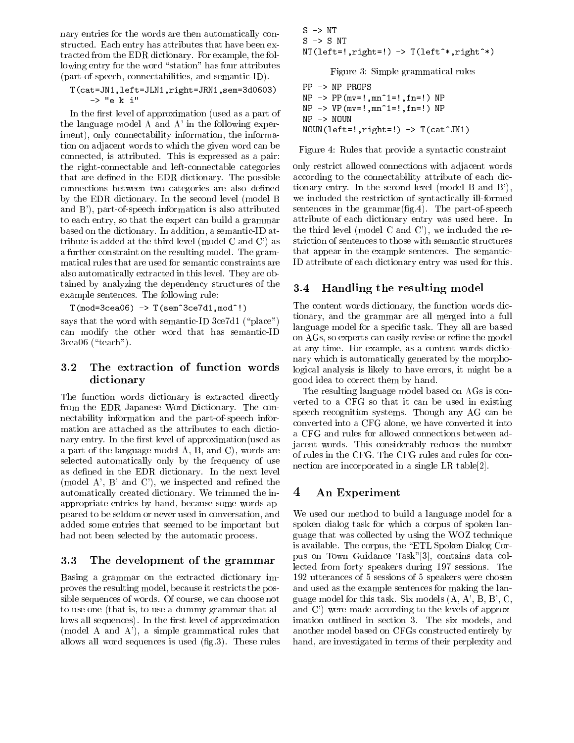nary entries for the words are then automatically constructed. Each entry has attributes that have been extracted from the EDR dictionary. For example, the following entry for the word "station" has four attributes (part-of-speech, connectabilities, and semantic-ID).

### T(cat=JN1,left=JLN1,right=JRN1,sem=3d0603)-> "e <sup>k</sup> i"

In the first level of approximation (used as a part of the language model A and A' in the following experiment), only connectability information, the information on adjacent words to which the given word can be connected, is attributed. This is expressed as a pair: the right-connectable and left-connectable categories that are defined in the EDR dictionary. The possible connections between two categories are also defined by the EDR dictionary. In the second level (model B and B'), part-of-speech information is also attributed to each entry, so that the expert can build a grammar based on the dictionary. In addition, a semantic-ID attribute is added at the third level (model C and C') as a further constraint on the resulting model. The grammatical rules that are used for semantic constraints are also automatically extracted in this level. They are obtained by analyzing the dependency structures of the  $3.4$ example sentences. The following rule:

 $\blacksquare$   $\blacksquare$   $\blacksquare$   $\blacksquare$   $\blacksquare$   $\blacksquare$   $\blacksquare$   $\blacksquare$   $\blacksquare$   $\blacksquare$   $\blacksquare$   $\blacksquare$   $\blacksquare$   $\blacksquare$   $\blacksquare$   $\blacksquare$   $\blacksquare$   $\blacksquare$   $\blacksquare$   $\blacksquare$   $\blacksquare$   $\blacksquare$   $\blacksquare$   $\blacksquare$   $\blacksquare$   $\blacksquare$   $\blacksquare$   $\blacksquare$   $\blacksquare$   $\blacksquare$   $\blacksquare$   $\blacks$ 

says that the word with semantic-ID 3ce7d1 ("place") can modify the other word that has semantic-ID  $3cea06$  ("teach").

## 3.2 The extraction of function words dictionary

The function words dictionary is extracted directly from the EDR Japanese Word Dictionary. The connectability information and the part-of-speech information are attached as the attributes to each dictionary entry. In the first level of approximation (used as a part of the language model A, B, and C), words are selected automatically only by the frequency of use as defined in the EDR dictionary. In the next level (model A', B' and C'), we inspected and refined the automatically created dictionary. We trimmed the inappropriate entries by hand, because some words appeared to be seldom or never used in conversation, and added some entries that seemed to be important but had not been selected by the automatic process.

#### $3.3$ 3.3 The development of the grammar

Basing a grammar on the extracted dictionary improves the resulting model, because it restricts the possible sequences of words. Of course, we can choose not to use one (that is, to use a dummy grammar that allows all sequences). In the first level of approximation (model A and A'), a simple grammatical rules that allows all word sequences is used  $(f_1g_2)$ . These rules

 $\sim$   $\sim$   $\sim$   $\sim$  $\mathbf{r}$ ,  $\mathbf{r}$  ,  $\mathbf{r}$  ,  $\mathbf{r}$  ,  $\mathbf{r}$  ,  $\mathbf{r}$  ,  $\mathbf{r}$  ,  $\mathbf{r}$  ,  $\mathbf{r}$  ,  $\mathbf{r}$  ,  $\mathbf{r}$  ,  $\mathbf{r}$  ,  $\mathbf{r}$  ,  $\mathbf{r}$  ,  $\mathbf{r}$  ,  $\mathbf{r}$  ,  $\mathbf{r}$  ,  $\mathbf{r}$  ,  $\mathbf{r}$  ,  $\mathbf{r}$  ,  $\$ 

Figure 3: Simple grammatical rules

```
NP \rightarrow PP(mv=!, mn^1=!,fn=!) NPPP -> NP PROPS
\mathbf{v} = \mathbf{v} - \mathbf{v} , while \mathbf{v} = \mathbf{v} , \mathbf{v} = \mathbf{v} , \mathbf{v} = \mathbf{v} , \mathbf{v} = \mathbf{v}\mathbf{N}
```
Figure 4: Rules that provide a syntactic constraint

only restrict allowed connections with adjacent words according to the connectability attribute of each dictionary entry. In the second level (model B and B'), we included the restriction of syntactically ill-formed sentences in the grammar( $fig.4$ ). The part-of-speech attribute of each dictionary entry was used here. In the third level (model C and C'), we included the restriction of sentences to those with semantic structures that appear in the example sentences. The semantic-ID attribute of each dictionary entry was used for this.

## Handling the resulting model

The content words dictionary, the function words dictionary, and the grammar are all merged into a full language model for a specific task. They all are based on AGs, so experts can easily revise or refine the model at any time. For example, as a content words dictionary which is automatically generated by the morphological analysis is likely to have errors, it might be a good idea to correct them by hand.

The resulting language model based on AGs is con verted to a CFG so that it can be used in existing speech recognition systems. Though any AG can be converted into a CFG alone, we have converted it into a CFG and rules for allowed connections between adjacent words. This considerably reduces the number of rules in the CFG. The CFG rules and rules for connection are incorporated in a single LR table[2].

# 4 An Experiment

We used our method to build a language model for a spoken dialog task for which a corpus of spoken language that was collected by using the WOZ technique is available. The corpus, the \ETL Spoken Dialog Corpus on Town Guidance Task"[3], contains data collected from forty speakers during 197 sessions. The 192 utterances of 5 sessions of 5 speakers were chosen and used as the example sentences for making the language model for this task. Six models (A, A', B, B', C, and C') were made according to the levels of approximation outlined in section 3. The six models, and another model based on CFGs constructed entirely by hand, are investigated in terms of their perplexity and